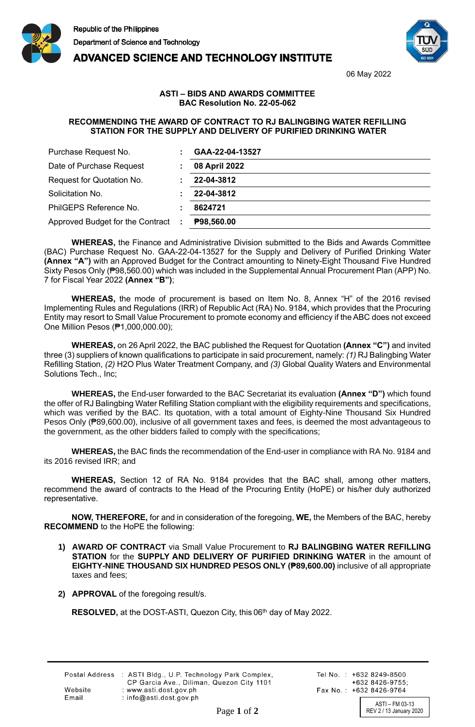





06 May 2022

## **ASTI – BIDS AND AWARDS COMMITTEE BAC Resolution No. 22-05-062**

## **RECOMMENDING THE AWARD OF CONTRACT TO RJ BALINGBING WATER REFILLING STATION FOR THE SUPPLY AND DELIVERY OF PURIFIED DRINKING WATER**

| Purchase Request No.               | GAA-22-04-13527   |
|------------------------------------|-------------------|
| Date of Purchase Request           | 08 April 2022     |
| Request for Quotation No.          | 22-04-3812        |
| Solicitation No.                   | 22-04-3812        |
| PhilGEPS Reference No.             | 8624721           |
| Approved Budget for the Contract : | <b>P98,560.00</b> |

**WHEREAS,** the Finance and Administrative Division submitted to the Bids and Awards Committee (BAC) Purchase Request No. GAA-22-04-13527 for the Supply and Delivery of Purified Drinking Water **(Annex "A")** with an Approved Budget for the Contract amounting to Ninety-Eight Thousand Five Hundred Sixty Pesos Only (₱98,560.00) which was included in the Supplemental Annual Procurement Plan (APP) No. 7 for Fiscal Year 2022 **(Annex "B")**;

**WHEREAS,** the mode of procurement is based on Item No. 8, Annex "H" of the 2016 revised Implementing Rules and Regulations (IRR) of Republic Act (RA) No. 9184, which provides that the Procuring Entity may resort to Small Value Procurement to promote economy and efficiency if the ABC does not exceed One Million Pesos (₱1,000,000.00);

**WHEREAS,** on 26 April 2022, the BAC published the Request for Quotation **(Annex "C")** and invited three (3) suppliers of known qualifications to participate in said procurement, namely: *(1)* RJ Balingbing Water Refilling Station, *(2)* H2O Plus Water Treatment Company, and *(3)* Global Quality Waters and Environmental Solutions Tech., Inc;

**WHEREAS,** the End-user forwarded to the BAC Secretariat its evaluation **(Annex "D")** which found the offer of RJ Balingbing Water Refilling Station compliant with the eligibility requirements and specifications, which was verified by the BAC. Its quotation, with a total amount of Eighty-Nine Thousand Six Hundred Pesos Only (₱89,600.00), inclusive of all government taxes and fees, is deemed the most advantageous to the government, as the other bidders failed to comply with the specifications;

**WHEREAS,** the BAC finds the recommendation of the End-user in compliance with RA No. 9184 and its 2016 revised IRR; and

**WHEREAS,** Section 12 of RA No. 9184 provides that the BAC shall, among other matters, recommend the award of contracts to the Head of the Procuring Entity (HoPE) or his/her duly authorized representative.

**NOW, THEREFORE,** for and in consideration of the foregoing, **WE,** the Members of the BAC, hereby **RECOMMEND** to the HoPE the following:

- **1) AWARD OF CONTRACT** via Small Value Procurement to **RJ BALINGBING WATER REFILLING STATION** for the **SUPPLY AND DELIVERY OF PURIFIED DRINKING WATER** in the amount of **EIGHTY-NINE THOUSAND SIX HUNDRED PESOS ONLY (₱89,600.00)** inclusive of all appropriate taxes and fees;
- **2) APPROVAL** of the foregoing result/s.

RESOLVED, at the DOST-ASTI, Quezon City, this 06<sup>th</sup> day of May 2022.